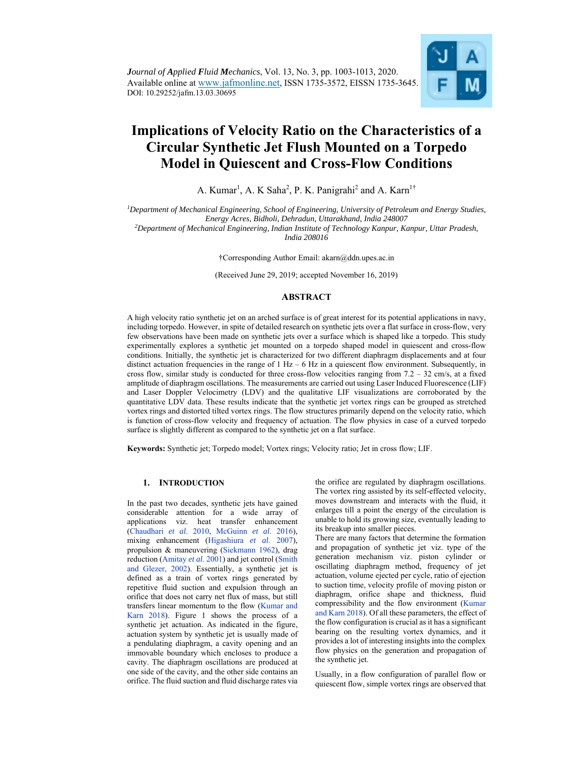*Journal of Applied Fluid Mechanics*, Vol. 13, No. 3, pp. 1003-1013, 2020. Available online at www.jafmonline.net, ISSN 1735-3572, EISSN 1735-3645. DOI: 10.29252/jafm.13.03.30695



# **Implications of Velocity Ratio on the Characteristics of a Circular Synthetic Jet Flush Mounted on a Torpedo Model in Quiescent and Cross-Flow Conditions**

A. Kumar<sup>1</sup>, A. K Saha<sup>2</sup>, P. K. Panigrahi<sup>2</sup> and A. Karn<sup>1†</sup>

*1 Department of Mechanical Engineering, School of Engineering, University of Petroleum and Energy Studies, Energy Acres, Bidholi, Dehradun, Uttarakhand, India 248007 2 Department of Mechanical Engineering, Indian Institute of Technology Kanpur, Kanpur, Uttar Pradesh,* 

*India 208016* 

†Corresponding Author Email: akarn@ddn.upes.ac.in

(Received June 29, 2019; accepted November 16, 2019)

# **ABSTRACT**

A high velocity ratio synthetic jet on an arched surface is of great interest for its potential applications in navy, including torpedo. However, in spite of detailed research on synthetic jets over a flat surface in cross-flow, very few observations have been made on synthetic jets over a surface which is shaped like a torpedo. This study experimentally explores a synthetic jet mounted on a torpedo shaped model in quiescent and cross-flow conditions. Initially, the synthetic jet is characterized for two different diaphragm displacements and at four distinct actuation frequencies in the range of  $1 Hz - 6 Hz$  in a quiescent flow environment. Subsequently, in cross flow, similar study is conducted for three cross-flow velocities ranging from  $7.2 - 32$  cm/s, at a fixed amplitude of diaphragm oscillations. The measurements are carried out using Laser Induced Fluorescence (LIF) and Laser Doppler Velocimetry (LDV) and the qualitative LIF visualizations are corroborated by the quantitative LDV data. These results indicate that the synthetic jet vortex rings can be grouped as stretched vortex rings and distorted tilted vortex rings. The flow structures primarily depend on the velocity ratio, which is function of cross-flow velocity and frequency of actuation. The flow physics in case of a curved torpedo surface is slightly different as compared to the synthetic jet on a flat surface.

**Keywords:** Synthetic jet; Torpedo model; Vortex rings; Velocity ratio; Jet in cross flow; LIF.

## **1. INTRODUCTION**

In the past two decades, synthetic jets have gained considerable attention for a wide array of applications viz. heat transfer enhancement (Chaudhari *et al*. 2010, McGuinn *et al*. 2016), mixing enhancement (Higashiura *et al*. 2007), propulsion & maneuvering (Siekmann 1962), drag reduction (Amitay *et al*. 2001) and jet control (Smith and Glezer, 2002). Essentially, a synthetic jet is defined as a train of vortex rings generated by repetitive fluid suction and expulsion through an orifice that does not carry net flux of mass, but still transfers linear momentum to the flow (Kumar and Karn 2018). Figure 1 shows the process of a synthetic jet actuation. As indicated in the figure, actuation system by synthetic jet is usually made of a pendulating diaphragm, a cavity opening and an immovable boundary which encloses to produce a cavity. The diaphragm oscillations are produced at one side of the cavity, and the other side contains an orifice. The fluid suction and fluid discharge rates via

the orifice are regulated by diaphragm oscillations. The vortex ring assisted by its self-effected velocity, moves downstream and interacts with the fluid, it enlarges till a point the energy of the circulation is unable to hold its growing size, eventually leading to its breakup into smaller pieces.

There are many factors that determine the formation and propagation of synthetic jet viz. type of the generation mechanism viz. piston cylinder or oscillating diaphragm method, frequency of jet actuation, volume ejected per cycle, ratio of ejection to suction time, velocity profile of moving piston or diaphragm, orifice shape and thickness, fluid compressibility and the flow environment (Kumar and Karn 2018). Of all these parameters, the effect of the flow configuration is crucial as it has a significant bearing on the resulting vortex dynamics, and it provides a lot of interesting insights into the complex flow physics on the generation and propagation of the synthetic jet.

Usually, in a flow configuration of parallel flow or quiescent flow, simple vortex rings are observed that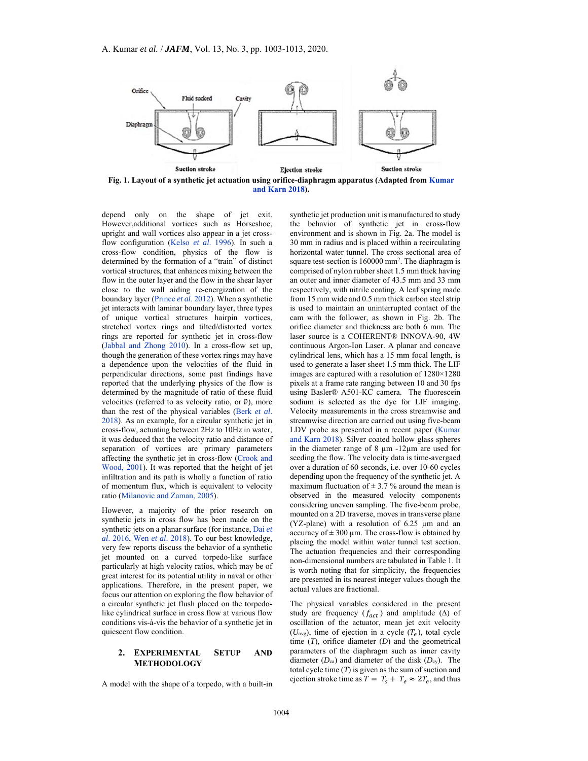

**Fig. 1. Layout of a synthetic jet actuation using orifice-diaphragm apparatus (Adapted from Kumar and Karn 2018).** 

depend only on the shape of jet exit. However,additional vortices such as Horseshoe, upright and wall vortices also appear in a jet crossflow configuration (Kelso *et al*. 1996). In such a cross-flow condition, physics of the flow is determined by the formation of a "train" of distinct vortical structures, that enhances mixing between the flow in the outer layer and the flow in the shear layer close to the wall aiding re-energization of the boundary layer (Prince *et al*. 2012). When a synthetic jet interacts with laminar boundary layer, three types of unique vortical structures hairpin vortices, stretched vortex rings and tilted/distorted vortex rings are reported for synthetic jet in cross-flow (Jabbal and Zhong 2010). In a cross-flow set up, though the generation of these vortex rings may have a dependence upon the velocities of the fluid in perpendicular directions, some past findings have reported that the underlying physics of the flow is determined by the magnitude of ratio of these fluid velocities (referred to as velocity ratio, or  $\tilde{v}$ ), more than the rest of the physical variables (Berk *et al*. 2018). As an example, for a circular synthetic jet in cross-flow, actuating between 2Hz to 10Hz in water, it was deduced that the velocity ratio and distance of separation of vortices are primary parameters affecting the synthetic jet in cross-flow (Crook and Wood, 2001). It was reported that the height of jet infiltration and its path is wholly a function of ratio of momentum flux, which is equivalent to velocity ratio (Milanovic and Zaman, 2005).

However, a majority of the prior research on synthetic jets in cross flow has been made on the synthetic jets on a planar surface (for instance, Dai *et al*. 2016, Wen *et al*. 2018). To our best knowledge, very few reports discuss the behavior of a synthetic jet mounted on a curved torpedo-like surface particularly at high velocity ratios, which may be of great interest for its potential utility in naval or other applications. Therefore, in the present paper, we focus our attention on exploring the flow behavior of a circular synthetic jet flush placed on the torpedolike cylindrical surface in cross flow at various flow conditions vis-à-vis the behavior of a synthetic jet in quiescent flow condition.

## **2. EXPERIMENTAL SETUP AND METHODOLOGY**

A model with the shape of a torpedo, with a built-in

synthetic jet production unit is manufactured to study the behavior of synthetic jet in cross-flow environment and is shown in Fig. 2a. The model is 30 mm in radius and is placed within a recirculating horizontal water tunnel. The cross sectional area of square test-section is 160000 mm<sup>2</sup>. The diaphragm is comprised of nylon rubber sheet 1.5 mm thick having an outer and inner diameter of 43.5 mm and 33 mm respectively, with nitrile coating. A leaf spring made from 15 mm wide and 0.5 mm thick carbon steel strip is used to maintain an uninterrupted contact of the cam with the follower, as shown in Fig. 2b. The orifice diameter and thickness are both 6 mm. The laser source is a COHERENT® INNOVA-90, 4W continuous Argon-Ion Laser. A planar and concave cylindrical lens, which has a 15 mm focal length, is used to generate a laser sheet 1.5 mm thick. The LIF images are captured with a resolution of 1280×1280 pixels at a frame rate ranging between 10 and 30 fps using Basler® A501-KC camera. The fluorescein sodium is selected as the dye for LIF imaging. Velocity measurements in the cross streamwise and streamwise direction are carried out using five-beam LDV probe as presented in a recent paper (Kumar and Karn 2018). Silver coated hollow glass spheres in the diameter range of 8 µm -12µm are used for seeding the flow. The velocity data is time-avergaed over a duration of 60 seconds, i.e. over 10-60 cycles depending upon the frequency of the synthetic jet. A maximum fluctuation of  $\pm$  3.7 % around the mean is observed in the measured velocity components considering uneven sampling. The five-beam probe, mounted on a 2D traverse, moves in transverse plane (YZ-plane) with a resolution of 6.25 µm and an accuracy of  $\pm 300 \mu$ m. The cross-flow is obtained by placing the model within water tunnel test section. The actuation frequencies and their corresponding non-dimensional numbers are tabulated in Table 1. It is worth noting that for simplicity, the frequencies are presented in its nearest integer values though the actual values are fractional.

The physical variables considered in the present study are frequency ( $f_{act}$ ) and amplitude ( $\Delta$ ) of oscillation of the actuator, mean jet exit velocity  $(U_{avg})$ , time of ejection in a cycle  $(T_e)$ , total cycle time (*T*), orifice diameter (*D*) and the geometrical parameters of the diaphragm such as inner cavity diameter (*D*ca) and diameter of the disk (*D*cy). The total cycle time (*T*) is given as the sum of suction and ejection stroke time as  $T = T_s + T_e \approx 2T_e$ , and thus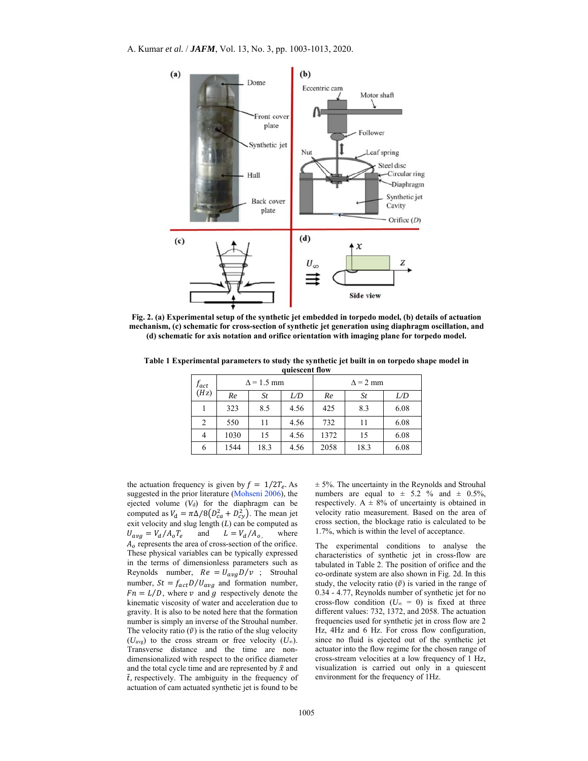

**Fig. 2. (a) Experimental setup of the synthetic jet embedded in torpedo model, (b) details of actuation mechanism, (c) schematic for cross-section of synthetic jet generation using diaphragm oscillation, and (d) schematic for axis notation and orifice orientation with imaging plane for torpedo model.** 

**Table 1 Experimental parameters to study the synthetic jet built in on torpedo shape model in quiescent flow** 

| $f_{act}$<br>(Hz) | $\Delta$ = 1.5 mm |      |      | $\Delta$ = 2 mm |      |      |
|-------------------|-------------------|------|------|-----------------|------|------|
|                   | Re                | St   | LD   | Re              | St   | L/D  |
|                   | 323               | 8.5  | 4.56 | 425             | 8.3  | 6.08 |
| 2                 | 550               | 11   | 4.56 | 732             | 11   | 6.08 |
|                   | 1030              | 15   | 4.56 | 1372            | 15   | 6.08 |
| 6                 | 1544              | 18.3 | 4.56 | 2058            | 18.3 | 6.08 |

the actuation frequency is given by  $f = 1/2T_e$ . As suggested in the prior literature (Mohseni 2006), the ejected volume ( $V<sub>d</sub>$ ) for the diaphragm can be computed as  $V_d = \pi \Delta/8 (D_{ca}^2 + D_{cy}^2)$ . The mean jet exit velocity and slug length (*L*) can be computed as  $U_{avg} = V_d / A_o T_e$  and  $L = V_d / A_o$ , where  $A<sub>o</sub>$  represents the area of cross-section of the orifice. These physical variables can be typically expressed in the terms of dimensionless parameters such as Reynolds number,  $Re = U_{avg}D/v$  ; Strouhal number,  $St = f_{act} D/U_{avg}$  and formation number,  $Fn = L/D$ , where v and q respectively denote the kinematic viscosity of water and acceleration due to gravity. It is also to be noted here that the formation number is simply an inverse of the Strouhal number. The velocity ratio  $(\tilde{v})$  is the ratio of the slug velocity  $(U_{avg})$  to the cross stream or free velocity  $(U_{\infty})$ . Transverse distance and the time are nondimensionalized with respect to the orifice diameter and the total cycle time and are represented by  $\tilde{x}$  and  $\tilde{t}$ , respectively. The ambiguity in the frequency of actuation of cam actuated synthetic jet is found to be

 $\pm$  5%. The uncertainty in the Reynolds and Strouhal numbers are equal to  $\pm$  5.2 % and  $\pm$  0.5%, respectively.  $A \pm 8\%$  of uncertainty is obtained in velocity ratio measurement. Based on the area of cross section, the blockage ratio is calculated to be 1.7%, which is within the level of acceptance.

The experimental conditions to analyse the characteristics of synthetic jet in cross-flow are tabulated in Table 2. The position of orifice and the co-ordinate system are also shown in Fig. 2d. In this study, the velocity ratio  $(\tilde{v})$  is varied in the range of 0.34 - 4.77, Reynolds number of synthetic jet for no cross-flow condition ( $U_{\infty} = 0$ ) is fixed at three different values: 732, 1372, and 2058. The actuation frequencies used for synthetic jet in cross flow are 2 Hz, 4Hz and 6 Hz. For cross flow configuration, since no fluid is ejected out of the synthetic jet actuator into the flow regime for the chosen range of cross-stream velocities at a low frequency of 1 Hz, visualization is carried out only in a quiescent environment for the frequency of 1Hz.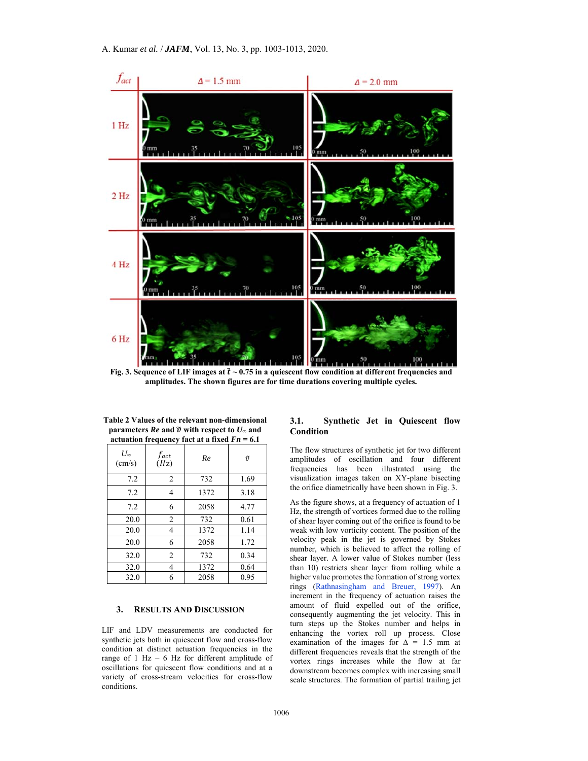

**Fig. 3. Sequence of LIF images at**  $\tilde{t} \sim 0.75$  **in a quiescent flow condition at different frequencies and amplitudes. The shown figures are for time durations covering multiple cycles.** 

|                        | ູ              |      |             |
|------------------------|----------------|------|-------------|
| $U_{\infty}$<br>(cm/s) | fact<br>(Hz)   | Re   | $\tilde{v}$ |
| 7.2                    | $\overline{c}$ | 732  | 1.69        |
| 7.2                    | 4              | 1372 | 3.18        |
| 7.2                    | 6              | 2058 | 4.77        |
| 20.0                   | $\overline{c}$ | 732  | 0.61        |
| 20.0                   | 4              | 1372 | 1.14        |
| 20.0                   | 6              | 2058 | 1.72        |
| 32.0                   | $\overline{2}$ | 732  | 0.34        |
| 32.0                   | 4              | 1372 | 0.64        |
| 32.0                   | 6              | 2058 | 0.95        |

| Table 2 Values of the relevant non-dimensional                   |
|------------------------------------------------------------------|
| parameters $Re$ and $\tilde{v}$ with respect to $U_{\infty}$ and |
| actuation frequency fact at a fixed $Fn = 6.1$                   |

# **3. RESULTS AND DISCUSSION**

LIF and LDV measurements are conducted for synthetic jets both in quiescent flow and cross-flow condition at distinct actuation frequencies in the range of 1 Hz – 6 Hz for different amplitude of oscillations for quiescent flow conditions and at a variety of cross-stream velocities for cross-flow conditions.

## **3.1. Synthetic Jet in Quiescent flow Condition**

The flow structures of synthetic jet for two different amplitudes of oscillation and four different frequencies has been illustrated using the visualization images taken on XY-plane bisecting the orifice diametrically have been shown in Fig. 3.

As the figure shows, at a frequency of actuation of 1 Hz, the strength of vortices formed due to the rolling of shear layer coming out of the orifice is found to be weak with low vorticity content. The position of the velocity peak in the jet is governed by Stokes number, which is believed to affect the rolling of shear layer. A lower value of Stokes number (less than 10) restricts shear layer from rolling while a higher value promotes the formation of strong vortex rings (Rathnasingham and Breuer, 1997). An increment in the frequency of actuation raises the amount of fluid expelled out of the orifice, consequently augmenting the jet velocity. This in turn steps up the Stokes number and helps in enhancing the vortex roll up process. Close examination of the images for  $\Lambda$  = 1.5 mm at different frequencies reveals that the strength of the vortex rings increases while the flow at far downstream becomes complex with increasing small scale structures. The formation of partial trailing jet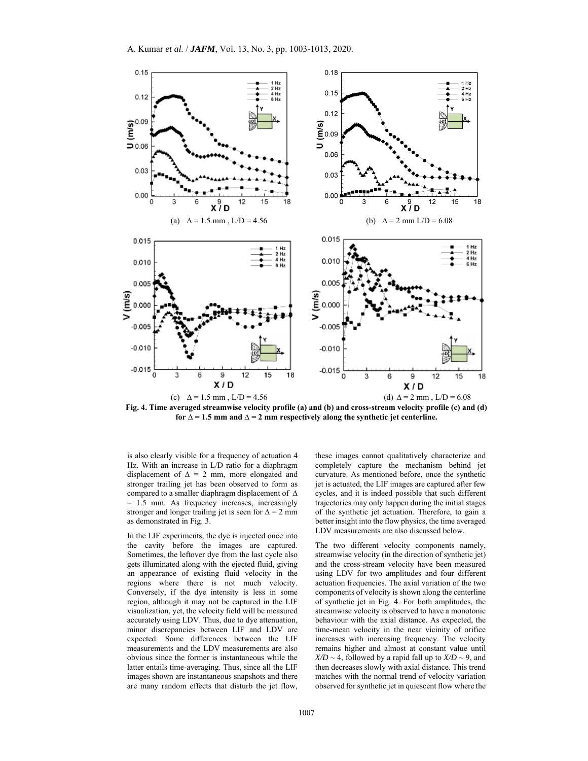

**Fig. 4. Time averaged streamwise velocity profile (a) and (b) and cross-stream velocity profile (c) and (d)**  for  $\overline{\Delta}$  = 1.5 mm and  $\Delta$  = 2 mm respectively along the synthetic jet centerline.

is also clearly visible for a frequency of actuation 4 Hz. With an increase in L/D ratio for a diaphragm displacement of  $\Delta = 2$  mm, more elongated and stronger trailing jet has been observed to form as compared to a smaller diaphragm displacement of ∆ = 1.5 mm. As frequency increases, increasingly stronger and longer trailing jet is seen for  $\Delta = 2$  mm as demonstrated in Fig. 3.

In the LIF experiments, the dye is injected once into the cavity before the images are captured. Sometimes, the leftover dye from the last cycle also gets illuminated along with the ejected fluid, giving an appearance of existing fluid velocity in the regions where there is not much velocity. Conversely, if the dye intensity is less in some region, although it may not be captured in the LIF visualization, yet, the velocity field will be measured accurately using LDV. Thus, due to dye attenuation, minor discrepancies between LIF and LDV are expected. Some differences between the LIF measurements and the LDV measurements are also obvious since the former is instantaneous while the latter entails time-averaging. Thus, since all the LIF images shown are instantaneous snapshots and there are many random effects that disturb the jet flow,

these images cannot qualitatively characterize and completely capture the mechanism behind jet curvature. As mentioned before, once the synthetic jet is actuated, the LIF images are captured after few cycles, and it is indeed possible that such different trajectories may only happen during the initial stages of the synthetic jet actuation. Therefore, to gain a better insight into the flow physics, the time averaged LDV measurements are also discussed below.

The two different velocity components namely, streamwise velocity (in the direction of synthetic jet) and the cross-stream velocity have been measured using LDV for two amplitudes and four different actuation frequencies. The axial variation of the two components of velocity is shown along the centerline of synthetic jet in Fig. 4. For both amplitudes, the streamwise velocity is observed to have a monotonic behaviour with the axial distance. As expected, the time-mean velocity in the near vicinity of orifice increases with increasing frequency. The velocity remains higher and almost at constant value until  $X/D \sim 4$ , followed by a rapid fall up to  $X/D \sim 9$ , and then decreases slowly with axial distance. This trend matches with the normal trend of velocity variation observed for synthetic jet in quiescent flow where the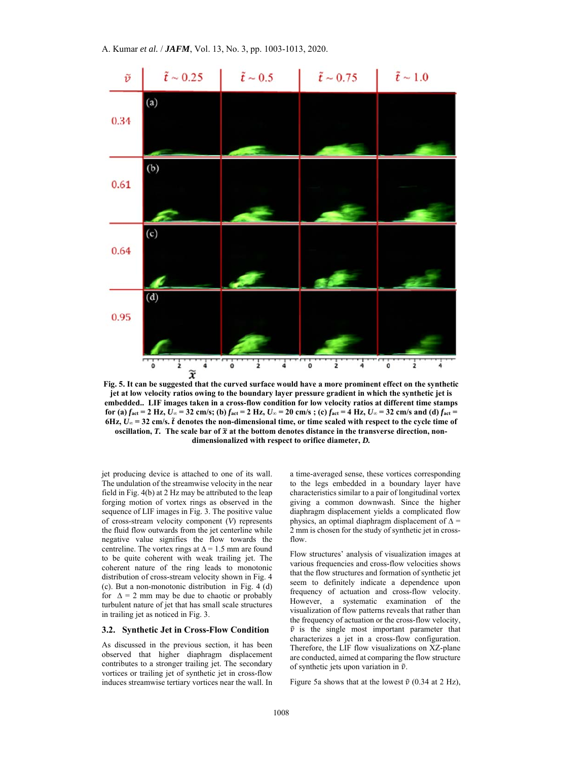A. Kumar *et al.* / *JAFM*, Vol. 13, No. 3, pp. 1003-1013, 2020.



**Fig. 5. It can be suggested that the curved surface would have a more prominent effect on the synthetic jet at low velocity ratios owing to the boundary layer pressure gradient in which the synthetic jet is embedded.. LIF images taken in a cross-flow condition for low velocity ratios at different time stamps**  for (a)  $f_{\text{act}} = 2$  Hz,  $U_{\infty} = 32$  cm/s; (b)  $f_{\text{act}} = 2$  Hz,  $U_{\infty} = 20$  cm/s; (c)  $f_{\text{act}} = 4$  Hz,  $U_{\infty} = 32$  cm/s and (d)  $f_{\text{act}} =$ **6Hz,**  $U_\infty$  = 32 cm/s.  $\tilde{t}$  denotes the non-dimensional time, or time scaled with respect to the cycle time of  $\alpha$  **oscillation,** *T***. The scale bar of**  $\tilde{\chi}$  **at the bottom denotes distance in the transverse direction, nondimensionalized with respect to orifice diameter,** *D.* 

jet producing device is attached to one of its wall. The undulation of the streamwise velocity in the near field in Fig. 4(b) at 2 Hz may be attributed to the leap forging motion of vortex rings as observed in the sequence of LIF images in Fig. 3. The positive value of cross-stream velocity component (*V*) represents the fluid flow outwards from the jet centerline while negative value signifies the flow towards the centreline. The vortex rings at  $\Delta$  = 1.5 mm are found to be quite coherent with weak trailing jet. The coherent nature of the ring leads to monotonic distribution of cross-stream velocity shown in Fig. 4 (c). But a non-monotonic distribution in Fig.  $4$  (d) for  $\Delta = 2$  mm may be due to chaotic or probably turbulent nature of jet that has small scale structures in trailing jet as noticed in Fig. 3.

## **3.2. Synthetic Jet in Cross-Flow Condition**

As discussed in the previous section, it has been observed that higher diaphragm displacement contributes to a stronger trailing jet. The secondary vortices or trailing jet of synthetic jet in cross-flow induces streamwise tertiary vortices near the wall. In a time-averaged sense, these vortices corresponding to the legs embedded in a boundary layer have characteristics similar to a pair of longitudinal vortex giving a common downwash. Since the higher diaphragm displacement yields a complicated flow physics, an optimal diaphragm displacement of  $\Delta$  = 2 mm is chosen for the study of synthetic jet in crossflow.

Flow structures' analysis of visualization images at various frequencies and cross-flow velocities shows that the flow structures and formation of synthetic jet seem to definitely indicate a dependence upon frequency of actuation and cross-flow velocity. However, a systematic examination of the visualization of flow patterns reveals that rather than the frequency of actuation or the cross-flow velocity,  $\tilde{v}$  is the single most important parameter that characterizes a jet in a cross-flow configuration. Therefore, the LIF flow visualizations on XZ-plane are conducted, aimed at comparing the flow structure of synthetic jets upon variation in  $\tilde{v}$ .

Figure 5a shows that at the lowest  $\tilde{v}$  (0.34 at 2 Hz),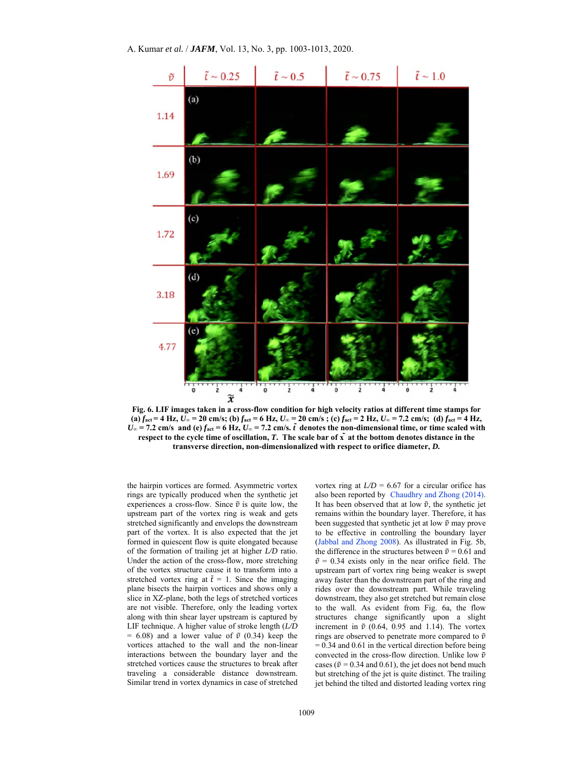

**Fig. 6. LIF images taken in a cross-flow condition for high velocity ratios at different time stamps for**  (a)  $f_{\text{act}} = 4$  Hz,  $U_{\infty} = 20$  cm/s; (b)  $f_{\text{act}} = 6$  Hz,  $U_{\infty} = 20$  cm/s; (c)  $f_{\text{act}} = 2$  Hz,  $U_{\infty} = 7.2$  cm/s; (d)  $f_{\text{act}} = 4$  Hz,  $U_{\infty}$  = 7.2 cm/s and (e)  $f_{\text{act}}$  = 6 Hz,  $U_{\infty}$  = 7.2 cm/s.  $\tilde{t}$  denotes the non-dimensional time, or time scaled with **respect to the cycle time of oscillation,**  $T$ **. The scale bar of**  $\tilde{x}$  **at the bottom denotes distance in the transverse direction, non-dimensionalized with respect to orifice diameter,** *D.* 

the hairpin vortices are formed. Asymmetric vortex rings are typically produced when the synthetic jet experiences a cross-flow. Since  $\tilde{v}$  is quite low, the upstream part of the vortex ring is weak and gets stretched significantly and envelops the downstream part of the vortex. It is also expected that the jet formed in quiescent flow is quite elongated because of the formation of trailing jet at higher *L/D* ratio. Under the action of the cross-flow, more stretching of the vortex structure cause it to transform into a stretched vortex ring at  $\tilde{t} = 1$ . Since the imaging plane bisects the hairpin vortices and shows only a slice in XZ-plane, both the legs of stretched vortices are not visible. Therefore, only the leading vortex along with thin shear layer upstream is captured by LIF technique. A higher value of stroke length (*L/D*  $= 6.08$ ) and a lower value of  $\tilde{v}$  (0.34) keep the vortices attached to the wall and the non-linear interactions between the boundary layer and the stretched vortices cause the structures to break after traveling a considerable distance downstream. Similar trend in vortex dynamics in case of stretched

vortex ring at  $LD = 6.67$  for a circular orifice has also been reported by Chaudhry and Zhong (2014). It has been observed that at low  $\tilde{v}$ , the synthetic jet remains within the boundary layer. Therefore, it has been suggested that synthetic jet at low  $\tilde{v}$  may prove to be effective in controlling the boundary layer (Jabbal and Zhong 2008). As illustrated in Fig. 5b, the difference in the structures between  $\tilde{v} = 0.61$  and  $\tilde{v}$  = 0.34 exists only in the near orifice field. The upstream part of vortex ring being weaker is swept away faster than the downstream part of the ring and rides over the downstream part. While traveling downstream, they also get stretched but remain close to the wall. As evident from Fig. 6a, the flow structures change significantly upon a slight increment in  $\tilde{v}$  (0.64, 0.95 and 1.14). The vortex rings are observed to penetrate more compared to  $\tilde{v}$  $= 0.34$  and 0.61 in the vertical direction before being convected in the cross-flow direction. Unlike low  $\tilde{v}$ cases ( $\tilde{v}$  = 0.34 and 0.61), the jet does not bend much but stretching of the jet is quite distinct. The trailing jet behind the tilted and distorted leading vortex ring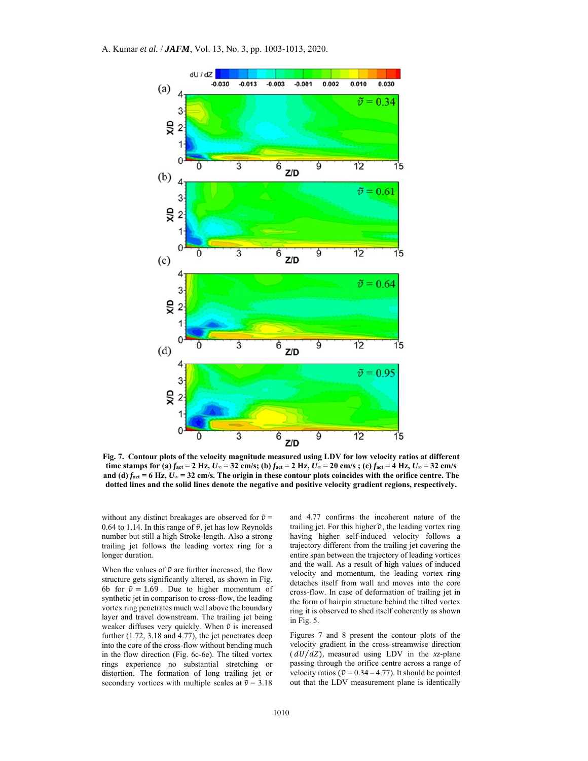

**Fig. 7. Contour plots of the velocity magnitude measured using LDV for low velocity ratios at different time stamps for (a)**  $f_{\text{act}} = 2$  Hz,  $U_{\infty} = 32$  cm/s; (b)  $f_{\text{act}} = 2$  Hz,  $U_{\infty} = 20$  cm/s; (c)  $f_{\text{act}} = 4$  Hz,  $U_{\infty} = 32$  cm/s **and (d)**  $f_{\text{act}} = 6$  Hz,  $U_{\infty} = 32$  cm/s. The origin in these contour plots coincides with the orifice centre. The **dotted lines and the solid lines denote the negative and positive velocity gradient regions, respectively.**

without any distinct breakages are observed for  $\tilde{v}$  = 0.64 to 1.14. In this range of  $\tilde{v}$ , jet has low Reynolds number but still a high Stroke length. Also a strong trailing jet follows the leading vortex ring for a longer duration.

When the values of  $\tilde{v}$  are further increased, the flow structure gets significantly altered, as shown in Fig. 6b for  $\tilde{v} = 1.69$ . Due to higher momentum of synthetic jet in comparison to cross-flow, the leading vortex ring penetrates much well above the boundary layer and travel downstream. The trailing jet being weaker diffuses very quickly. When  $\tilde{v}$  is increased further (1.72, 3.18 and 4.77), the jet penetrates deep into the core of the cross-flow without bending much in the flow direction (Fig. 6c-6e). The tilted vortex rings experience no substantial stretching or distortion. The formation of long trailing jet or secondary vortices with multiple scales at  $\tilde{v} = 3.18$  and 4.77 confirms the incoherent nature of the trailing jet. For this higher  $\widetilde{v}$ , the leading vortex ring having higher self-induced velocity follows a trajectory different from the trailing jet covering the entire span between the trajectory of leading vortices and the wall. As a result of high values of induced velocity and momentum, the leading vortex ring detaches itself from wall and moves into the core cross-flow. In case of deformation of trailing jet in the form of hairpin structure behind the tilted vortex ring it is observed to shed itself coherently as shown in Fig. 5.

Figures 7 and 8 present the contour plots of the velocity gradient in the cross-streamwise direction  $(dU/dZ)$ , measured using LDV in the  $xz$ -plane passing through the orifice centre across a range of velocity ratios ( $\tilde{v} = 0.34 - 4.77$ ). It should be pointed out that the LDV measurement plane is identically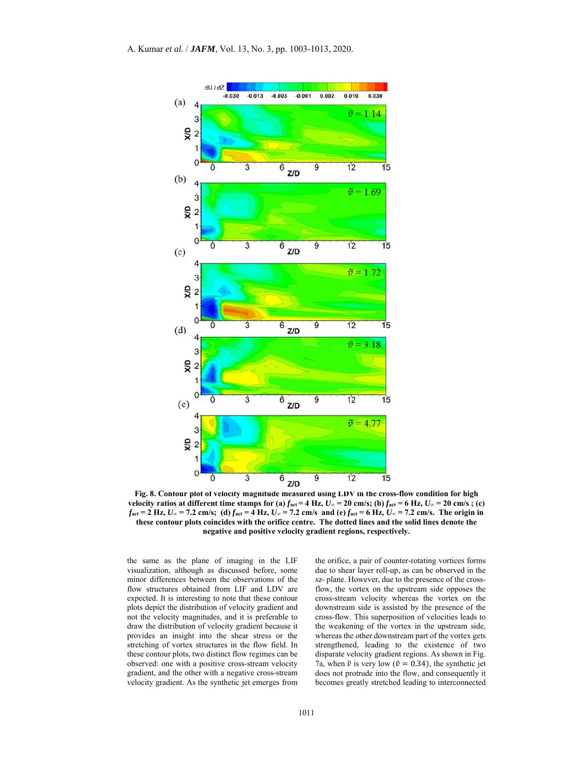

**Fig. 8. Contour plot of velocity magnitude measured using LDV in the cross-flow condition for high velocity ratios at different time stamps for (a)**  $f_{\text{act}} = 4$  **Hz,**  $U_{\infty} = 20$  **cm/s; (b)**  $f_{\text{act}} = 6$  **Hz,**  $U_{\infty} = 20$  **cm/s; (c)**  $f_{\text{act}} = 2 \text{ Hz}, U_{\infty} = 7.2 \text{ cm/s};$  (d)  $f_{\text{act}} = 4 \text{ Hz}, U_{\infty} = 7.2 \text{ cm/s}$  and (e)  $f_{\text{act}} = 6 \text{ Hz}, U_{\infty} = 7.2 \text{ cm/s}.$  The origin in **these contour plots coincides with the orifice centre. The dotted lines and the solid lines denote the negative and positive velocity gradient regions, respectively.**

the same as the plane of imaging in the LIF visualization, although as discussed before, some minor differences between the observations of the flow structures obtained from LIF and LDV are expected. It is interesting to note that these contour plots depict the distribution of velocity gradient and not the velocity magnitudes, and it is preferable to draw the distribution of velocity gradient because it provides an insight into the shear stress or the stretching of vortex structures in the flow field. In these contour plots, two distinct flow regimes can be observed: one with a positive cross-stream velocity gradient, and the other with a negative cross-stream velocity gradient. As the synthetic jet emerges from the orifice, a pair of counter-rotating vortices forms due to shear layer roll-up, as can be observed in the *xz-* plane. However, due to the presence of the crossflow, the vortex on the upstream side opposes the cross-stream velocity whereas the vortex on the downstream side is assisted by the presence of the cross-flow. This superposition of velocities leads to the weakening of the vortex in the upstream side, whereas the other downstream part of the vortex gets strengthened, leading to the existence of two disparate velocity gradient regions. As shown in Fig. 7a, when  $\tilde{v}$  is very low ( $\tilde{v} = 0.34$ ), the synthetic jet does not protrude into the flow, and consequently it becomes greatly stretched leading to interconnected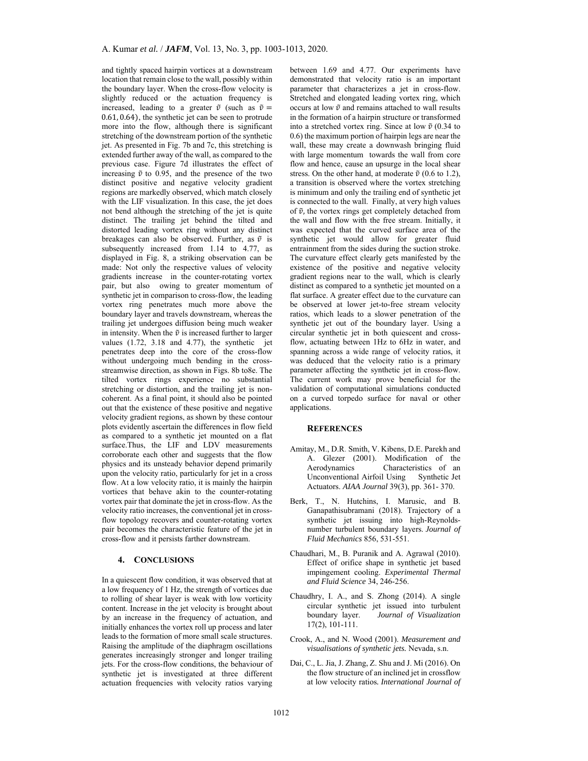and tightly spaced hairpin vortices at a downstream location that remain close to the wall, possibly within the boundary layer. When the cross-flow velocity is slightly reduced or the actuation frequency is increased, leading to a greater  $\tilde{v}$  (such as  $\tilde{v}$  =  $0.61, 0.64$ , the synthetic jet can be seen to protrude more into the flow, although there is significant stretching of the downstream portion of the synthetic jet. As presented in Fig. 7b and 7c, this stretching is extended further away of the wall, as compared to the previous case. Figure 7d illustrates the effect of increasing  $\tilde{v}$  to 0.95, and the presence of the two distinct positive and negative velocity gradient regions are markedly observed, which match closely with the LIF visualization. In this case, the jet does not bend although the stretching of the jet is quite distinct. The trailing jet behind the tilted and distorted leading vortex ring without any distinct breakages can also be observed. Further, as  $\tilde{v}$  is subsequently increased from 1.14 to 4.77, as displayed in Fig. 8, a striking observation can be made: Not only the respective values of velocity gradients increase in the counter-rotating vortex pair, but also owing to greater momentum of synthetic jet in comparison to cross-flow, the leading vortex ring penetrates much more above the boundary layer and travels downstream, whereas the trailing jet undergoes diffusion being much weaker in intensity. When the  $\tilde{v}$  is increased further to larger values (1.72, 3.18 and 4.77), the synthetic jet penetrates deep into the core of the cross-flow without undergoing much bending in the crossstreamwise direction, as shown in Figs. 8b to8e. The tilted vortex rings experience no substantial stretching or distortion, and the trailing jet is noncoherent. As a final point, it should also be pointed out that the existence of these positive and negative velocity gradient regions, as shown by these contour plots evidently ascertain the differences in flow field as compared to a synthetic jet mounted on a flat surface.Thus, the LIF and LDV measurements corroborate each other and suggests that the flow physics and its unsteady behavior depend primarily upon the velocity ratio, particularly for jet in a cross flow. At a low velocity ratio, it is mainly the hairpin vortices that behave akin to the counter-rotating vortex pair that dominate the jet in cross-flow. As the velocity ratio increases, the conventional jet in crossflow topology recovers and counter-rotating vortex pair becomes the characteristic feature of the jet in cross-flow and it persists farther downstream.

### **4. CONCLUSIONS**

In a quiescent flow condition, it was observed that at a low frequency of 1 Hz, the strength of vortices due to rolling of shear layer is weak with low vorticity content. Increase in the jet velocity is brought about by an increase in the frequency of actuation, and initially enhances the vortex roll up process and later leads to the formation of more small scale structures. Raising the amplitude of the diaphragm oscillations generates increasingly stronger and longer trailing jets. For the cross-flow conditions, the behaviour of synthetic jet is investigated at three different actuation frequencies with velocity ratios varying between 1.69 and 4.77. Our experiments have demonstrated that velocity ratio is an important parameter that characterizes a jet in cross-flow. Stretched and elongated leading vortex ring, which occurs at low  $\tilde{v}$  and remains attached to wall results in the formation of a hairpin structure or transformed into a stretched vortex ring. Since at low  $\tilde{v}$  (0.34 to 0.6) the maximum portion of hairpin legs are near the wall, these may create a downwash bringing fluid with large momentum towards the wall from core flow and hence, cause an upsurge in the local shear stress. On the other hand, at moderate  $\tilde{v}$  (0.6 to 1.2), a transition is observed where the vortex stretching is minimum and only the trailing end of synthetic jet is connected to the wall. Finally, at very high values of  $\tilde{v}$ , the vortex rings get completely detached from the wall and flow with the free stream. Initially, it was expected that the curved surface area of the synthetic jet would allow for greater fluid entrainment from the sides during the suction stroke. The curvature effect clearly gets manifested by the existence of the positive and negative velocity gradient regions near to the wall, which is clearly distinct as compared to a synthetic jet mounted on a flat surface. A greater effect due to the curvature can be observed at lower jet-to-free stream velocity ratios, which leads to a slower penetration of the synthetic jet out of the boundary layer. Using a circular synthetic jet in both quiescent and crossflow, actuating between 1Hz to 6Hz in water, and spanning across a wide range of velocity ratios, it was deduced that the velocity ratio is a primary parameter affecting the synthetic jet in cross-flow. The current work may prove beneficial for the validation of computational simulations conducted on a curved torpedo surface for naval or other applications.

### **REFERENCES**

- Amitay, M., D.R. Smith, V. Kibens, D.E. Parekh and A. Glezer (2001). Modification of the Aerodynamics Characteristics of an Unconventional Airfoil Using Synthetic Jet Actuators. *AIAA Journal* 39(3), pp. 361- 370.
- Berk, T., N. Hutchins, I. Marusic, and B. Ganapathisubramani (2018). Trajectory of a synthetic jet issuing into high-Reynoldsnumber turbulent boundary layers. *Journal of Fluid Mechanics* 856, 531-551.
- Chaudhari, M., B. Puranik and A. Agrawal (2010). Effect of orifice shape in synthetic jet based impingement cooling. *Experimental Thermal and Fluid Science* 34, 246-256.
- Chaudhry, I. A., and S. Zhong (2014). A single circular synthetic jet issued into turbulent boundary layer. *Journal of Visualization*  17(2), 101-111.
- Crook, A., and N. Wood (2001). *Measurement and visualisations of synthetic jets.* Nevada, s.n.
- Dai, C., L. Jia, J. Zhang, Z. Shu and J. Mi (2016). On the flow structure of an inclined jet in crossflow at low velocity ratios*. International Journal of*